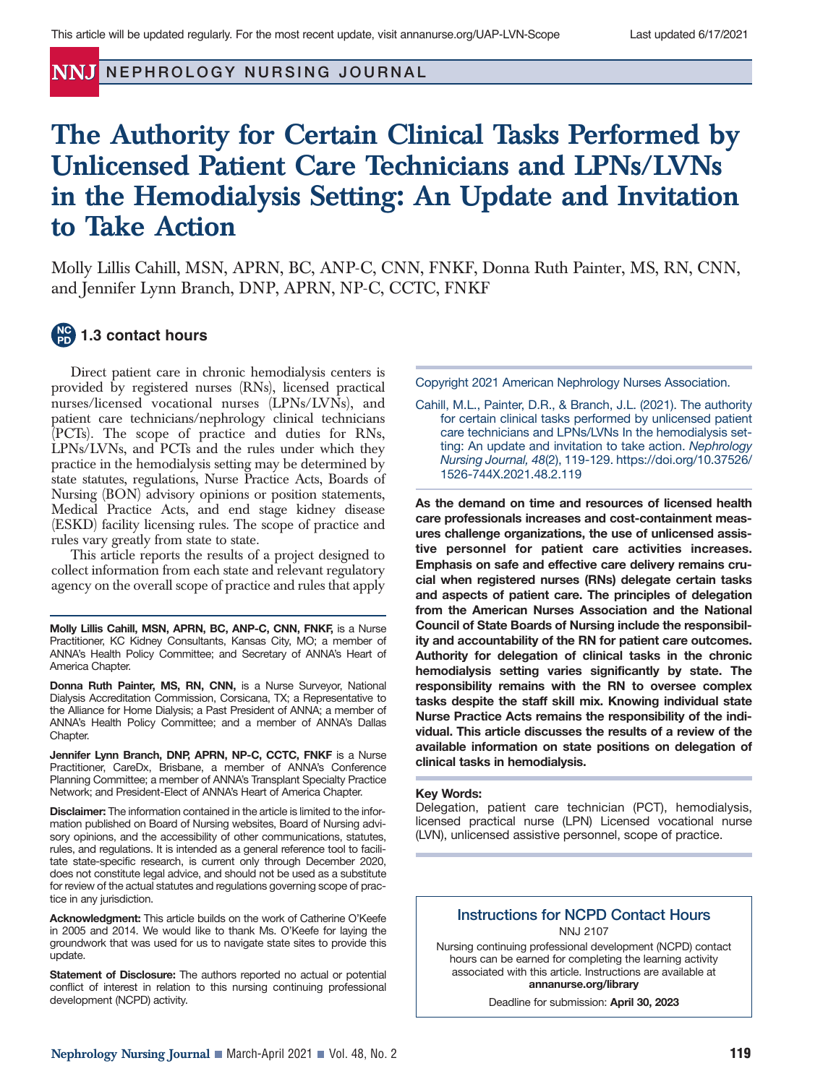**NNJ NEPHROLOGY NURSING JOURNAL** 

# **The Authority for Certain Clinical Tasks Performed by Unlicensed Patient Care Technicians and LPNs/LVNs in the Hemodialysis Setting: An Update and Invitation to Take Action**

Molly Lillis Cahill, MSN, APRN, BC, ANP-C, CNN, FNKF, Donna Ruth Painter, MS, RN, CNN, and Jennifer Lynn Branch, DNP, APRN, NP-C, CCTC, FNKF

# **1.3 contact hours**

Direct patient care in chronic hemodialysis centers is provided by registered nurses (RNs), licensed practical nurses/licensed vocational nurses (LPNs/LVNs), and patient care technicians/nephrology clinical technicians (PCTs). The scope of practice and duties for RNs, LPNs/LVNs, and PCTs and the rules under which they practice in the hemodialysis setting may be determined by state statutes, regulations, Nurse Practice Acts, Boards of Nursing (BON) advisory opinions or position statements, Medical Practice Acts, and end stage kidney disease (ESKD) facility licensing rules. The scope of practice and rules vary greatly from state to state.

This article reports the results of a project designed to collect information from each state and relevant regulatory agency on the overall scope of practice and rules that apply

**Molly Lillis Cahill, MSN, APRN, BC, ANP-C, CNN, FNKF,** is a Nurse Practitioner, KC Kidney Consultants, Kansas City, MO; a member of ANNA's Health Policy Committee; and Secretary of ANNA's Heart of America Chapter.

**Donna Ruth Painter, MS, RN, CNN,** is a Nurse Surveyor, National Dialysis Accreditation Commission, Corsicana, TX; a Representative to the Alliance for Home Dialysis; a Past President of ANNA; a member of ANNA's Health Policy Committee; and a member of ANNA's Dallas Chapter.

**Jennifer Lynn Branch, DNP, APRN, NP-C, CCTC, FNKF** is a Nurse Practitioner, CareDx, Brisbane, a member of ANNA's Conference Planning Committee; a member of ANNA's Transplant Specialty Practice Network; and President-Elect of ANNA's Heart of America Chapter.

**Disclaimer:** The information contained in the article is limited to the information published on Board of Nursing websites, Board of Nursing advisory opinions, and the accessibility of other communications, statutes, rules, and regulations. It is intended as a general reference tool to facilitate state-specific research, is current only through December 2020, does not constitute legal advice, and should not be used as a substitute for review of the actual statutes and regulations governing scope of practice in any jurisdiction.

**Acknowledgment:** This article builds on the work of Catherine O'Keefe in 2005 and 2014. We would like to thank Ms. O'Keefe for laying the groundwork that was used for us to navigate state sites to provide this update.

**Statement of Disclosure:** The authors reported no actual or potential conflict of interest in relation to this nursing continuing professional development (NCPD) activity.

Copyright 2021 American Nephrology Nurses Association.

Cahill, M.L., Painter, D.R., & Branch, J.L. (2021). The authority for certain clinical tasks performed by unlicensed patient care technicians and LPNs/LVNs In the hemodialysis setting: An update and invitation to take action. *Nephrology Nursing Journal, 48*(2), 119-129. https://doi.org/10.37526/ 1526-744X.2021.48.2.119

**As the demand on time and resources of licensed health care professionals increases and cost-containment measures challenge organizations, the use of unlicensed assistive personnel for patient care activities increases. Emphasis on safe and effective care delivery remains crucial when registered nurses (RNs) delegate certain tasks and aspects of patient care. The principles of delegation from the American Nurses Association and the National Council of State Boards of Nursing include the responsibility and accountability of the RN for patient care outcomes. Authority for delegation of clinical tasks in the chronic hemodialysis setting varies significantly by state. The responsibility remains with the RN to oversee complex tasks despite the staff skill mix. Knowing individual state Nurse Practice Acts remains the responsibility of the individual. This article discusses the results of a review of the available information on state positions on delegation of clinical tasks in hemodialysis.** 

#### **Key Words:**

Delegation, patient care technician (PCT), hemodialysis, licensed practical nurse (LPN) Licensed vocational nurse (LVN), unlicensed assistive personnel, scope of practice.

### **Instructions for NCPD Contact Hours** NNJ 2107

Nursing continuing professional development (NCPD) contact hours can be earned for completing the learning activity associated with this article. Instructions are available at **annanurse.org/library**

Deadline for submission: **April 30, 2023**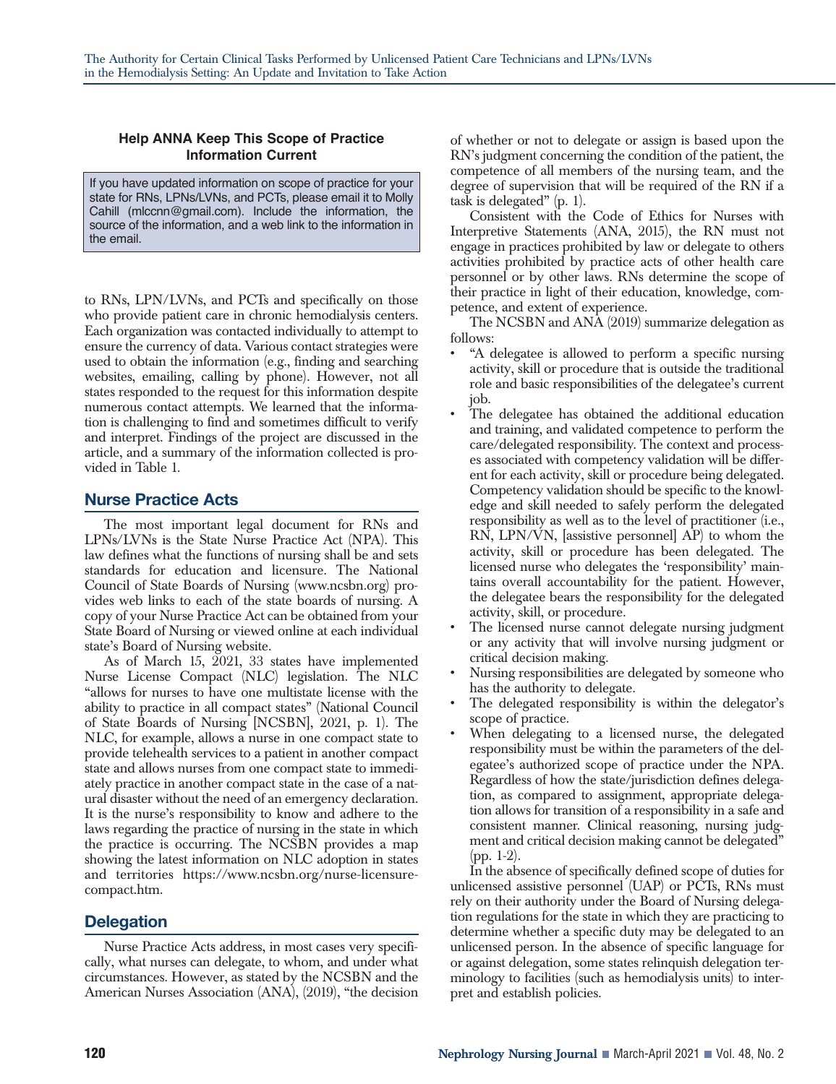#### **Help ANNA Keep This Scope of Practice Information Current**

If you have updated information on scope of practice for your state for RNs, LPNs/LVNs, and PCTs, please email it to Molly Cahill (mlccnn@gmail.com). Include the information, the source of the information, and a web link to the information in the email.

to RNs, LPN/LVNs, and PCTs and specifically on those who provide patient care in chronic hemodialysis centers. Each organization was contacted individually to attempt to ensure the currency of data. Various contact strategies were used to obtain the information (e.g., finding and searching websites, emailing, calling by phone). However, not all states responded to the request for this information despite numerous contact attempts. We learned that the information is challenging to find and sometimes difficult to verify and interpret. Findings of the project are discussed in the article, and a summary of the information collected is provided in Table 1.

# **Nurse Practice Acts**

The most important legal document for RNs and LPNs/LVNs is the State Nurse Practice Act (NPA). This law defines what the functions of nursing shall be and sets standards for education and licensure. The National Council of State Boards of Nursing (www.ncsbn.org) provides web links to each of the state boards of nursing. A copy of your Nurse Practice Act can be obtained from your State Board of Nursing or viewed online at each individual state's Board of Nursing website.

As of March 15, 2021, 33 states have implemented Nurse License Compact (NLC) legislation. The NLC "allows for nurses to have one multistate license with the ability to practice in all compact states" (National Council of State Boards of Nursing [NCSBN], 2021, p. 1). The NLC, for example, allows a nurse in one compact state to provide telehealth services to a patient in another compact state and allows nurses from one compact state to immediately practice in another compact state in the case of a natural disaster without the need of an emergency declaration. It is the nurse's responsibility to know and adhere to the laws regarding the practice of nursing in the state in which the practice is occurring. The NCSBN provides a map showing the latest information on NLC adoption in states and territories https://www.ncsbn.org/nurse-licensurecompact.htm.

# **Delegation**

Nurse Practice Acts address, in most cases very specifically, what nurses can delegate, to whom, and under what circumstances. However, as stated by the NCSBN and the American Nurses Association (ANA), (2019), "the decision of whether or not to delegate or assign is based upon the RN's judgment concerning the condition of the patient, the competence of all members of the nursing team, and the degree of supervision that will be required of the RN if a task is delegated" (p. 1).

Consistent with the Code of Ethics for Nurses with Interpretive Statements (ANA, 2015), the RN must not engage in practices prohibited by law or delegate to others activities prohibited by practice acts of other health care personnel or by other laws. RNs determine the scope of their practice in light of their education, knowledge, competence, and extent of experience.

The NCSBN and ANA (2019) summarize delegation as follows:

- "A delegatee is allowed to perform a specific nursing activity, skill or procedure that is outside the traditional role and basic responsibilities of the delegatee's current job.
- The delegatee has obtained the additional education and training, and validated competence to perform the care/delegated responsibility. The context and processes associated with competency validation will be different for each activity, skill or procedure being delegated. Competency validation should be specific to the knowledge and skill needed to safely perform the delegated responsibility as well as to the level of practitioner (i.e., RN, LPN/VN, [assistive personnel] AP) to whom the activity, skill or procedure has been delegated. The licensed nurse who delegates the 'responsibility' maintains overall accountability for the patient. However, the delegatee bears the responsibility for the delegated activity, skill, or procedure.
- The licensed nurse cannot delegate nursing judgment or any activity that will involve nursing judgment or critical decision making.
- Nursing responsibilities are delegated by someone who has the authority to delegate.
- The delegated responsibility is within the delegator's scope of practice.
- When delegating to a licensed nurse, the delegated responsibility must be within the parameters of the delegatee's authorized scope of practice under the NPA. Regardless of how the state/jurisdiction defines delegation, as compared to assignment, appropriate delegation allows for transition of a responsibility in a safe and consistent manner. Clinical reasoning, nursing judgment and critical decision making cannot be delegated" (pp. 1-2).

In the absence of specifically defined scope of duties for unlicensed assistive personnel (UAP) or PCTs, RNs must rely on their authority under the Board of Nursing delegation regulations for the state in which they are practicing to determine whether a specific duty may be delegated to an unlicensed person. In the absence of specific language for or against delegation, some states relinquish delegation terminology to facilities (such as hemodialysis units) to interpret and establish policies.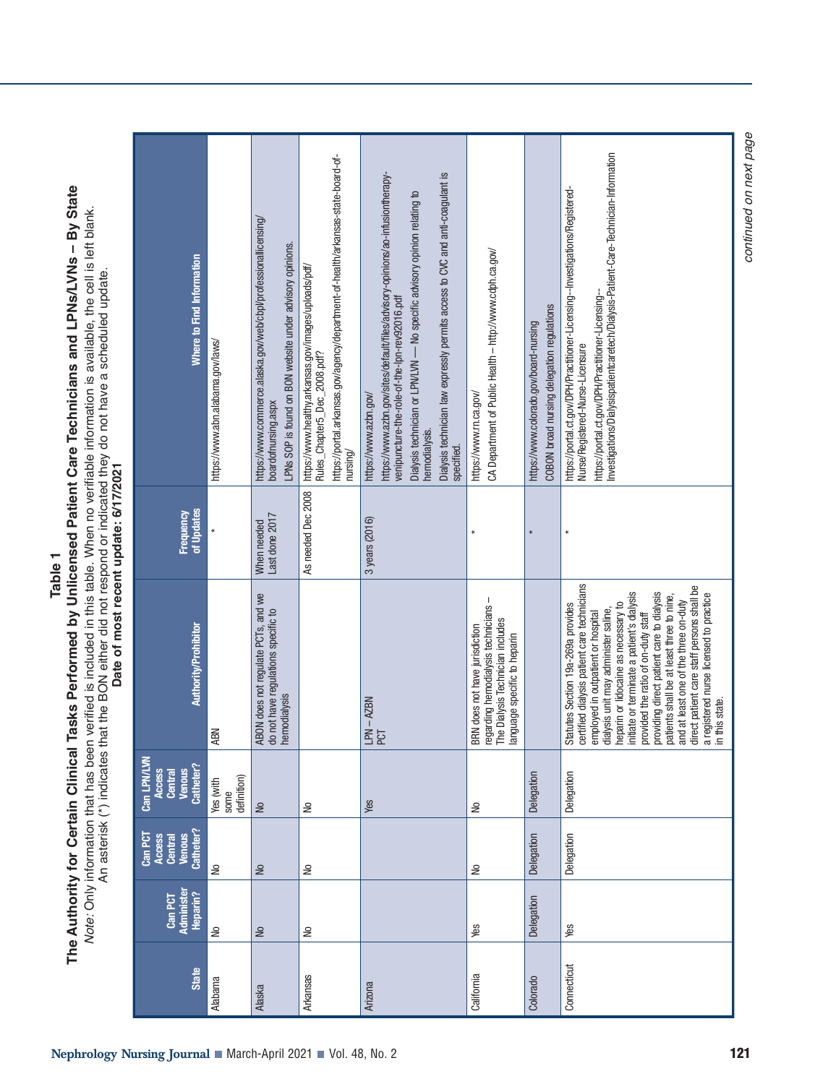| Where to Find Information                                      | https://www.abn.alabama.gov/laws/ | https://www.commerce.alaska.gov/web/cbpl/professionallicensing/<br>boardofnursing.aspx<br>LPNs SOP is found on BON website under advisory opinions | https://portal.arkansas.gov/agency/department-of-health/arkansas-state-board-of-<br>https://www.healthy.arkansas.gov/images/uploads/pdf/<br>Rules_Chapter5_Dec_2008.pdf?<br>$n$ ursing/ | https://www.azbn.gov/sites/default/files/advisory-opinions/ao-infusiontherapy-<br>Dialysis technician law expressly permits access to CVC and anti-coagulant is<br>Dialysis technician or LPN/LWI - No specific advisory opinion relating to<br>venipuncture-the-role-of-the-lpn-rev92016.pdf<br>https://www.azbn.gov/<br>hemodialysis.<br>specified | CA Department of Public Health - http://www.cdph.ca.gov/<br>https://www.m.ca.gov/                                                          | COBON broad nursing delegation regulations<br>https://www.colorado.gov/board-nursing | https://portal.ct.gov/DPH/Practitioner-Licensing--<br>Investigations/Dialysispatientcaretech/Dialysis-Patient-Care-Technician-Information<br>https://portal.ct.gov/DPH/Practitioner-Licensing--Investigations/Registered-<br>Nurse/Registered-Nurse-Licensure                                                                                                                                                                                                                                                                              |
|----------------------------------------------------------------|-----------------------------------|----------------------------------------------------------------------------------------------------------------------------------------------------|-----------------------------------------------------------------------------------------------------------------------------------------------------------------------------------------|------------------------------------------------------------------------------------------------------------------------------------------------------------------------------------------------------------------------------------------------------------------------------------------------------------------------------------------------------|--------------------------------------------------------------------------------------------------------------------------------------------|--------------------------------------------------------------------------------------|--------------------------------------------------------------------------------------------------------------------------------------------------------------------------------------------------------------------------------------------------------------------------------------------------------------------------------------------------------------------------------------------------------------------------------------------------------------------------------------------------------------------------------------------|
| of Updates<br><b>Frequency</b>                                 |                                   | Last done 2017<br>When needed                                                                                                                      | As needed Dec 2008                                                                                                                                                                      | 3 years (2016)                                                                                                                                                                                                                                                                                                                                       |                                                                                                                                            |                                                                                      | $\star$                                                                                                                                                                                                                                                                                                                                                                                                                                                                                                                                    |
| <b>Authority/Prohibitor</b>                                    | <b>ABN</b>                        | ABON does not regulate PCTs, and we<br>do not have regulations specific to<br>hemodialysis                                                         |                                                                                                                                                                                         | LPN-AZBN<br>PCT                                                                                                                                                                                                                                                                                                                                      | regarding hemodialysis technicians -<br>The Dialysis Technician includes<br>BRN does not have jurisdiction<br>language specific to heparin |                                                                                      | certified dialysis patient care technicians<br>direct patient care staff persons shall be<br>providing direct patient care to dialysis<br>initiate or terminate a patient's dialysis<br>a registered nurse licensed to practice<br>in this state.<br>patients shall be at least three to nine,<br>and at least one of the three on-duty<br>heparin or lidocaine as necessary to<br>Statutes Section 19a-269a provides<br>dialysis unit may administer saline,<br>employed in outpatient or hospital<br>provided the ratio of on-duty staff |
| Can LPN/LVN<br>Catheter?<br><b>Venous</b><br>Access<br>Central | definition)<br>Yes (with<br>some  | $\geq$                                                                                                                                             | å                                                                                                                                                                                       | Yes                                                                                                                                                                                                                                                                                                                                                  | $\frac{1}{2}$                                                                                                                              | Delegation                                                                           | Delegation                                                                                                                                                                                                                                                                                                                                                                                                                                                                                                                                 |
| Catheter?<br>Can PCT<br><b>Venous</b><br>Access<br>Central     | $\tilde{z}$                       | Ξ                                                                                                                                                  | $\geq$                                                                                                                                                                                  |                                                                                                                                                                                                                                                                                                                                                      | $\geq$                                                                                                                                     | Delegation                                                                           | Delegation                                                                                                                                                                                                                                                                                                                                                                                                                                                                                                                                 |
| Administer<br>Heparin?<br>Can PCT                              | g                                 | $\geq$                                                                                                                                             | S                                                                                                                                                                                       |                                                                                                                                                                                                                                                                                                                                                      | Yes                                                                                                                                        | Delegation                                                                           | Yes                                                                                                                                                                                                                                                                                                                                                                                                                                                                                                                                        |
| <b>State</b>                                                   | <b>Alabama</b>                    | Alaska                                                                                                                                             | Arkansas                                                                                                                                                                                | Arizona                                                                                                                                                                                                                                                                                                                                              | California                                                                                                                                 | Colorado                                                                             | Connecticut                                                                                                                                                                                                                                                                                                                                                                                                                                                                                                                                |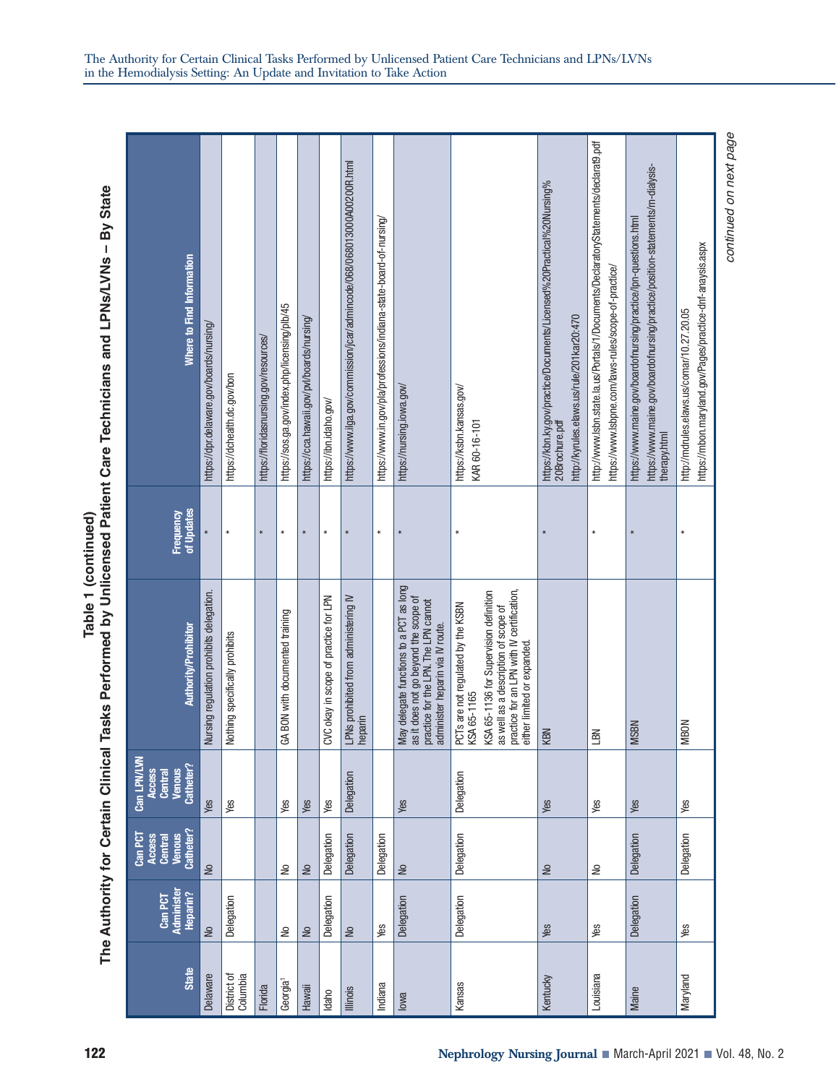The Authority for Certain Clinical Tasks Performed by Unlicensed Patient Care Technicians and LPNs/LVNs - By State **Table 1 (continued) The Authority for Certain Clinical Tasks Performed by Unlicensed Patient Care Technicians and LPNs/LVNs – By State** Table 1 (continued)

| <b>State</b>             | <b>Administer</b><br>Heparin?<br>Can PCT | Catheter?<br>Can PCT<br><b>Venous</b><br>Access<br>Central | Can LPN/LVN<br>Catheter?<br><b>Venous</b><br>Access<br>Central | Authority/Prohibitor                                                                                                                                                                                             | of Updates<br>Frequency | Where to Find Information                                                                                                                                         |
|--------------------------|------------------------------------------|------------------------------------------------------------|----------------------------------------------------------------|------------------------------------------------------------------------------------------------------------------------------------------------------------------------------------------------------------------|-------------------------|-------------------------------------------------------------------------------------------------------------------------------------------------------------------|
| <b>elaware</b>           | S                                        | $\geq$                                                     | Yes                                                            | Nursing regulation prohibits delegation.                                                                                                                                                                         | ×                       | https://dpr.delaware.gov/boards/nursing/                                                                                                                          |
| ) istrict of<br>Columbia | Delegation                               |                                                            | Yes                                                            | Nothing specifically prohibits                                                                                                                                                                                   | $\star$                 | https://dchealth.dc.gov/bon                                                                                                                                       |
| <b>lorida</b>            |                                          |                                                            |                                                                |                                                                                                                                                                                                                  | ×                       | https://floridasnursing.gov/resources/                                                                                                                            |
| Georgia <sup>1</sup>     | ₽                                        | å                                                          | Yes                                                            | GA BON with documented training                                                                                                                                                                                  | ¥                       | https://sos.ga.gov/index.php/licensing/plb/45                                                                                                                     |
| <b>Hawaii</b>            | $\geq$                                   | $\geq$                                                     | Yes                                                            |                                                                                                                                                                                                                  | $\pmb{\ast}$            | https://cca.hawaii.gov/pvl/boards/nursing/                                                                                                                        |
| daho                     | Delegation                               | Delegation                                                 | Yes                                                            | CVC okay in scope of practice for LPN                                                                                                                                                                            | $\star$                 | https://ibn.idaho.gov/                                                                                                                                            |
| llinois                  | S                                        | Delegation                                                 | Delegation                                                     | LPNs prohibited from administering IV<br>heparin                                                                                                                                                                 | $\star$                 | https://www.ilga.gov/commission/jcar/admincode/068/068013000A00200R.html                                                                                          |
| ndiana                   | Yes                                      | Delegation                                                 |                                                                |                                                                                                                                                                                                                  | $\star$                 | https://www.in.gov/pla/professions/indiana-state-board-of-nursing/                                                                                                |
| owa                      | Delegation                               | $\geq$                                                     | Yes                                                            | May delegate functions to a PCT as long<br>as it does not go beyond the scope of<br>practice for the LPN. The LPN cannot<br>administer heparin via IV route.                                                     | $\star$                 | https://nursing.iowa.gov/                                                                                                                                         |
| <b>Kansas</b>            | Delegation                               | Delegation                                                 | Delegation                                                     | practice for an LPN with IV certification,<br>KSA 65-1136 for Supervision definition<br>PCTs are not regulated by the KSBN<br>as well as a description of scope of<br>either limited or expanded.<br>KSA 65-1165 | ×                       | https://ksbn.kansas.gov/<br>KAR 60-16-101                                                                                                                         |
| <b>entucky</b>           | Yes                                      | $\frac{1}{2}$                                              | Yes                                                            | KBN                                                                                                                                                                                                              | ¥                       | https://kbn.ky.gov/practice/Documents/Licensed%20Practical%20Nursing%<br>http://kyrules.elaws.us/rule/201kar20:470<br>20Brochure.pdf                              |
| ouisiana                 | Yes                                      | å                                                          | Yes                                                            | <b>LBN</b>                                                                                                                                                                                                       | $\star$                 | http://www.lsbn.state.la.us/Portals/1/Documents/DeclaratoryStatements/declarat9.pdf<br>https://www.lsbpne.com/laws-rules/scope-of-practice/                       |
| <b>Maine</b>             | Delegation                               | Delegation                                                 | Yes                                                            | <b>MSBN</b>                                                                                                                                                                                                      | $\star$                 | https://www.maine.gov/boardofnursing/practice/position-statements/m-dialysis-<br>https://www.maine.gov/boardofnursing/practice/lpn-questions.html<br>therapy.html |
| Vlaryland                | Yes                                      | Delegation                                                 | Ves                                                            | <b>MBON</b>                                                                                                                                                                                                      | $\ast$                  | https://mbon.maryland.gov/Pages/practice-dnf-anaysis.aspx<br>http://mdrules.elaws.us/comar/10.27.20.05                                                            |
|                          |                                          |                                                            |                                                                |                                                                                                                                                                                                                  |                         | continued on next page                                                                                                                                            |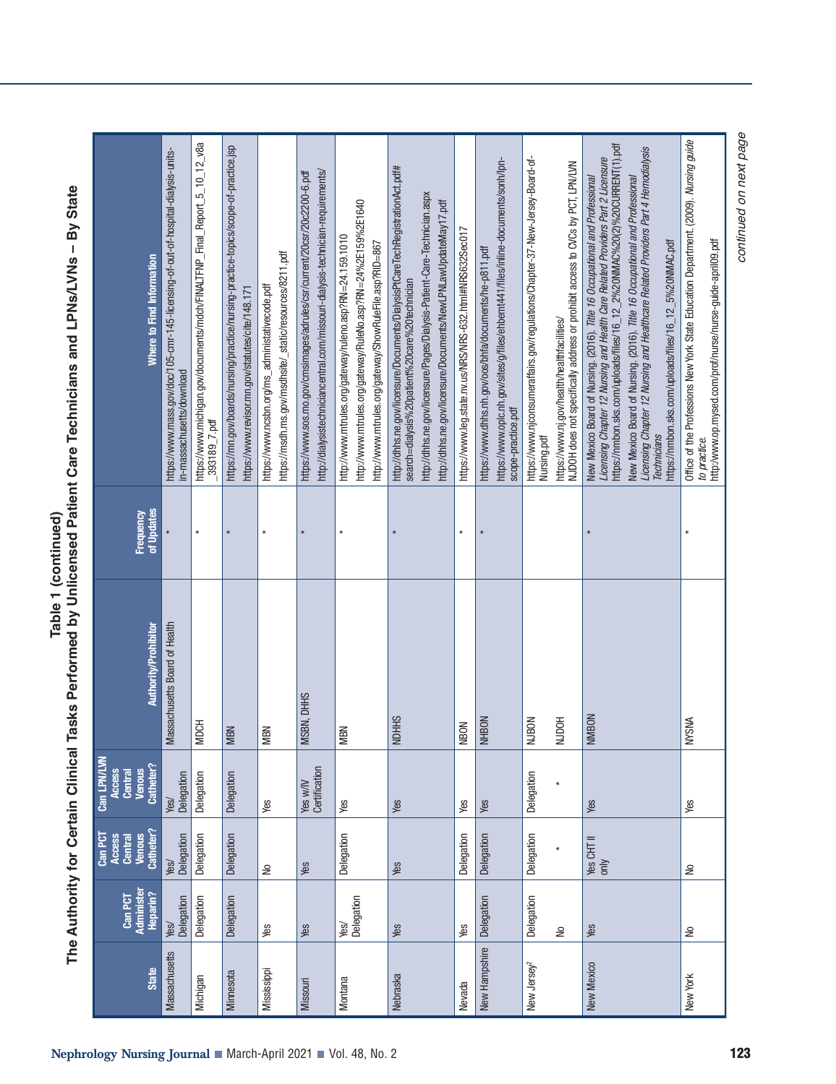| <b>State</b>            | Administe<br>Heparin?<br>Can PCT | Catheter?<br>Can PCT<br><b>Venous</b><br>Central<br>Access | Can LPN/LVN<br>Venous<br>Catheter?<br>Access<br>Central | <b>Authority/Prohibitor</b>   | of Updates<br>Frequency | Where to Find Information                                                                                                                                                                                                                                                                                                                                                                                                                                                                       |
|-------------------------|----------------------------------|------------------------------------------------------------|---------------------------------------------------------|-------------------------------|-------------------------|-------------------------------------------------------------------------------------------------------------------------------------------------------------------------------------------------------------------------------------------------------------------------------------------------------------------------------------------------------------------------------------------------------------------------------------------------------------------------------------------------|
| <b>Massachusetts</b>    | Delegation<br>Yes/               | Delegation<br>Yes/                                         | Delegation<br>Yes/                                      | Massachusetts Board of Health |                         | https://www.mass.gov/doc/105-cmr-145-licensing-of-out-of-hospital-dialysis-units-<br>in-massachusetts/download                                                                                                                                                                                                                                                                                                                                                                                  |
| Michigan                | Delegation                       | Delegation                                                 | Delegation                                              | <b>MDCH</b>                   | $\star$                 | https://www.michigan.gov/documents/mdch/FINALTFNP_Final_Report_5_10_12_v8a<br>$-393189 - 7.$ pdf                                                                                                                                                                                                                                                                                                                                                                                                |
| Minnesota               | Delegation                       | Delegation                                                 | Delegation                                              | <b>MBN</b>                    | $\star$                 | https://mn.gov/boards/nursing/practice/nursing-practice-topics/scope-of-practice.jsp<br>https://www.revisor.mn.gov/statutes/cite/148.171                                                                                                                                                                                                                                                                                                                                                        |
| Mississippi             | yes                              | S                                                          | Sex                                                     | <b>MBN</b>                    | $\star$                 | https://msdh.ms.gov/msdhsite/_static/resources/8211.pdf<br>https://www.ncsbn.org/ms_administativecode.pdf                                                                                                                                                                                                                                                                                                                                                                                       |
| <b>Missouri</b>         | Yes                              | Yes                                                        | Certification<br>Yes w/W                                | MSBN, DHHS                    | $\star$                 | http://dialysistechniciancentral.com/missouri-dialysis-technician-requirements/<br>https://www.sos.mo.gov/cmsimages/adrules/csr/current/20csr/20c2200-6.pdf                                                                                                                                                                                                                                                                                                                                     |
| Montana                 | Yes/<br>Delegation               | Delegation                                                 | Yes                                                     | MBN                           | $\star$                 | http://www.mtrules.org/gateway/RuleNo.asp?RN=24%2E159%2E1640<br>http://www.mtrules.org/gateway/ruleno.asp?RN=24.159.1010<br>http://www.mtrules.org/gateway/ShowRuleFile.asp?RID=867                                                                                                                                                                                                                                                                                                             |
| Nebraska                | Yes                              | Yes                                                        | Yes                                                     | <b>NDHHS</b>                  | $\ast$                  | http://dhhs.ne.gov/licensure/Documents/DialysisPtCareTechRegistrationAct.pdf#<br>http://dhhs.ne.gov/licensure/Pages/Dialysis-Patient-Care-Technician.aspx<br>http://dhhs.ne.gov/licensure/Documents/NewLPNLawUpdateMay17.pdf<br>search=dialysis%20patient%20care%20technician                                                                                                                                                                                                                   |
| Nevada                  | Yes                              | Delegation                                                 | Yes                                                     | NBON                          | $\star$                 | https://www.leg.state.nv.us/NRS/NRS-632.html#NRS632Sec017                                                                                                                                                                                                                                                                                                                                                                                                                                       |
| New Hampshire           | Delegation                       | Delegation                                                 | Yes                                                     | <b>NHBON</b>                  | $\ast$                  | https://www.oplc.nh.gov/sites/g/files/ehbemt441/files/inline-documents/sonh/lpn-<br>https://www.dhhs.nh.gov/oos/bhfa/documents/he-p811.pdf<br>scope-practice.pdf                                                                                                                                                                                                                                                                                                                                |
| New Jersey <sup>2</sup> | Delegation<br>$\geq$             | Delegation                                                 | Delegation<br>$\ast$                                    | NJDOH<br><b>NJBON</b>         |                         | https://www.njconsumeraffairs.gov/regulations/Chapter-37-New-Jersey-Board-of-<br>https://www.nj.gov/health/healthfacilities/<br>NJDOH does not specifically address or prohibit access to CVCs by PCT, LPN/LVN<br>Nursing.pdf                                                                                                                                                                                                                                                                   |
| New Mexico              | Yes                              | Yes CHT II<br>only                                         | Yes                                                     | <b>NMBON</b>                  | $\ast$                  | Licensing Chapter 12 Nursing and Health Care Related Providers Part 2 Licensure<br>https://nmbon.sks.com/uploads/files/16_12_2%20NMAC%20(2)%20CURRENT(1).pdf<br>New Mexico Board of Nursing, (2016). Title 16 Occupational and Professional<br>Licensing Chapter 12 Nursing and Healthcare Related Providers Part 4 Hemodialysis<br>New Mexico Board of Nursing. (2016). Title 16 Occupational and Professional<br>https://nmbon.sks.com/uploads/files/16_12_5%20NMAC.pdf<br><b>Technicians</b> |
| New York                | å                                | $\geq$                                                     | Yes                                                     | <b>NYSNA</b>                  |                         | Office of the Professions New York State Education Department. (2009). Nursing guide<br>http:/www.op.mysed.com/prof/nurse/nurse-guide-april09.pdf<br>to practice.                                                                                                                                                                                                                                                                                                                               |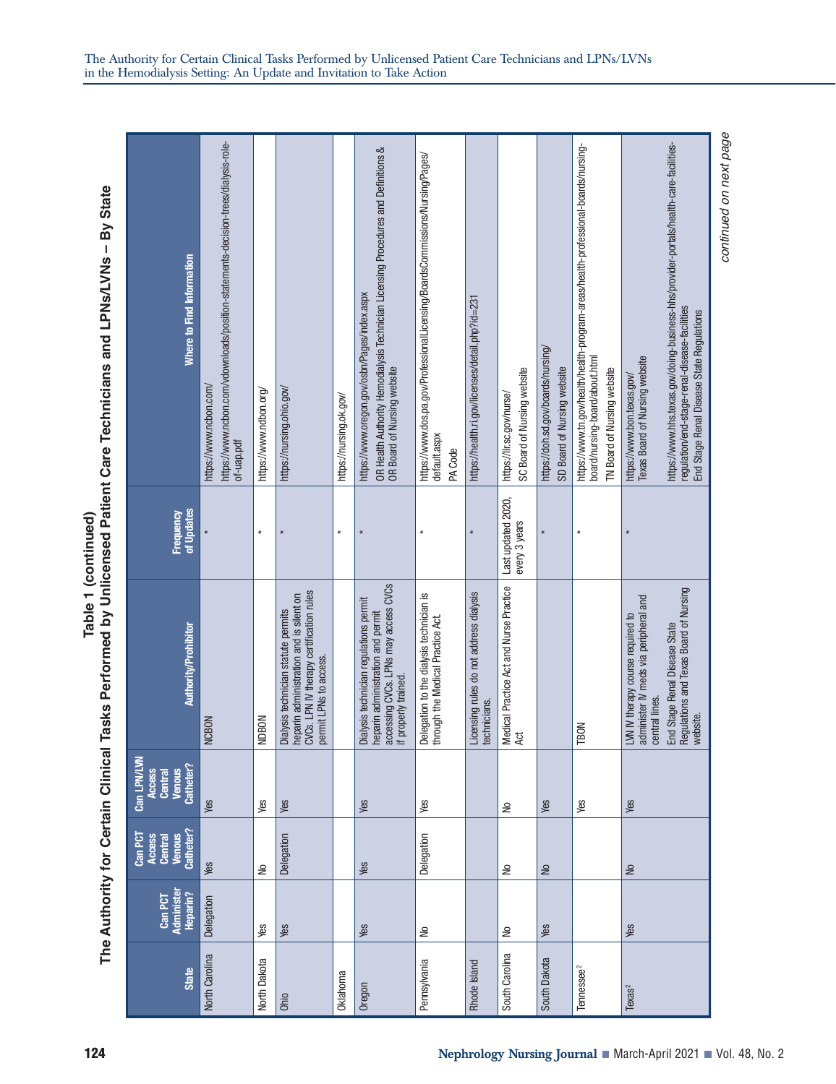The Authority for Certain Clinical Tasks Performed by Unlicensed Patient Care Technicians and LPNs/LVNs - By State **Table 1 (continued) The Authority for Certain Clinical Tasks Performed by Unlicensed Patient Care Technicians and LPNs/LVNs – By State** Table 1 (continued)

| Where to Find Information                                      | https://www.ncbon.com/vdownloads/position-statements-decision-trees/dialysis-role-<br>https://www.ncbon.com/<br>of-uap.pdf | https://www.ndbon.org/ | https://nursing.ohio.gov/                                                                                                                            | https://nursing.ok.gov/ | OR Health Authority Hemodialysis Technician Licensing Procedures and Definitions &<br>https://www.oregon.gov/osbn/Pages/index.aspx<br>OR Board of Nursing website | https://www.dos.pa.gov/ProfessionalLicensing/BoardsCommissions/Nursing/Pages/<br>default.aspx<br>PA Code | https://health.ri.gov/licenses/detail.php?id=231        | SC Board of Nursing website<br>https://llr.sc.gov/nurse/ | https://doh.sd.gov/boards/nursing/<br>SD Board of Nursing website | https://www.tn.gov/health/health-program-areas/health-professional-boards/nursing-<br>board/nursing-board/about.html<br>TN Board of Nursing website | Texas Board of Nursing website<br>https://www.bon.texas.gov/                                 | https://www.hhs.texas.gov/doing-business-hhs/provider-portals/health-care-facilities-<br>regulation/end-stage-renal-disease-facilities<br>End Stage Renal Disease State Regulations | continued on next page |
|----------------------------------------------------------------|----------------------------------------------------------------------------------------------------------------------------|------------------------|------------------------------------------------------------------------------------------------------------------------------------------------------|-------------------------|-------------------------------------------------------------------------------------------------------------------------------------------------------------------|----------------------------------------------------------------------------------------------------------|---------------------------------------------------------|----------------------------------------------------------|-------------------------------------------------------------------|-----------------------------------------------------------------------------------------------------------------------------------------------------|----------------------------------------------------------------------------------------------|-------------------------------------------------------------------------------------------------------------------------------------------------------------------------------------|------------------------|
| of Updates<br>Frequency                                        |                                                                                                                            | $\ast$                 | $\star$                                                                                                                                              | ¥                       | $\ast$                                                                                                                                                            | $\ast$                                                                                                   |                                                         | Last updated 2020,<br>every 3 years                      | $\star$                                                           | $\ast$                                                                                                                                              |                                                                                              |                                                                                                                                                                                     |                        |
| Authority/Prohibitor                                           | <b>NCBON</b>                                                                                                               | <b>NDBON</b>           | CVCs. LPN IV therapy certification rules<br>heparin administration and is silent on<br>Dialysis technician statute permits<br>permit LPNs to access. |                         | accessing CVCs. LPNs may access CVCs<br>Dialysis technician regulations permit<br>heparin administration and permit<br>if properly trained.                       | Delegation to the dialysis technician is<br>through the Medical Practice Act.                            | Licensing rules do not address dialysis<br>technicians. | Medical Practice Act and Nurse Practice<br>Ąđ            |                                                                   | <b>TBON</b>                                                                                                                                         | administer IV meds via peripheral and<br>LVN IV therapy course required to<br>central lines. | Regulations and Texas Board of Nursing<br>End Stage Renal Disease State<br>website.                                                                                                 |                        |
| Can LPN/LVN<br>Catheter?<br><b>Venous</b><br>Access<br>Central | Yes                                                                                                                        | Yes                    | Yes                                                                                                                                                  |                         | Yes                                                                                                                                                               | Yes                                                                                                      |                                                         | S                                                        | Yes                                                               | Yes                                                                                                                                                 | Yes                                                                                          |                                                                                                                                                                                     |                        |
| Catheter?<br>Can PCT<br><b>Venous</b><br>Access<br>Central     | Yes                                                                                                                        | S                      | Delegation                                                                                                                                           |                         | Yes                                                                                                                                                               | Delegation                                                                                               |                                                         | S                                                        | $\frac{1}{2}$                                                     |                                                                                                                                                     | S                                                                                            |                                                                                                                                                                                     |                        |
| Administe<br>Heparin?<br>Can PCT                               | Delegation                                                                                                                 | Yes                    | Yes                                                                                                                                                  |                         | Yes                                                                                                                                                               | ₽                                                                                                        |                                                         | ₽                                                        | Yes                                                               |                                                                                                                                                     | Yes                                                                                          |                                                                                                                                                                                     |                        |
| <b>State</b>                                                   | North Carolina                                                                                                             | North Dakota           | Ohio                                                                                                                                                 | Oklahoma                | Oregon                                                                                                                                                            | Pennsylvania                                                                                             | Rhode Island                                            | South Carolina                                           | South Dakota                                                      | Tennessee <sup>2</sup>                                                                                                                              | Exas <sup>2</sup>                                                                            |                                                                                                                                                                                     |                        |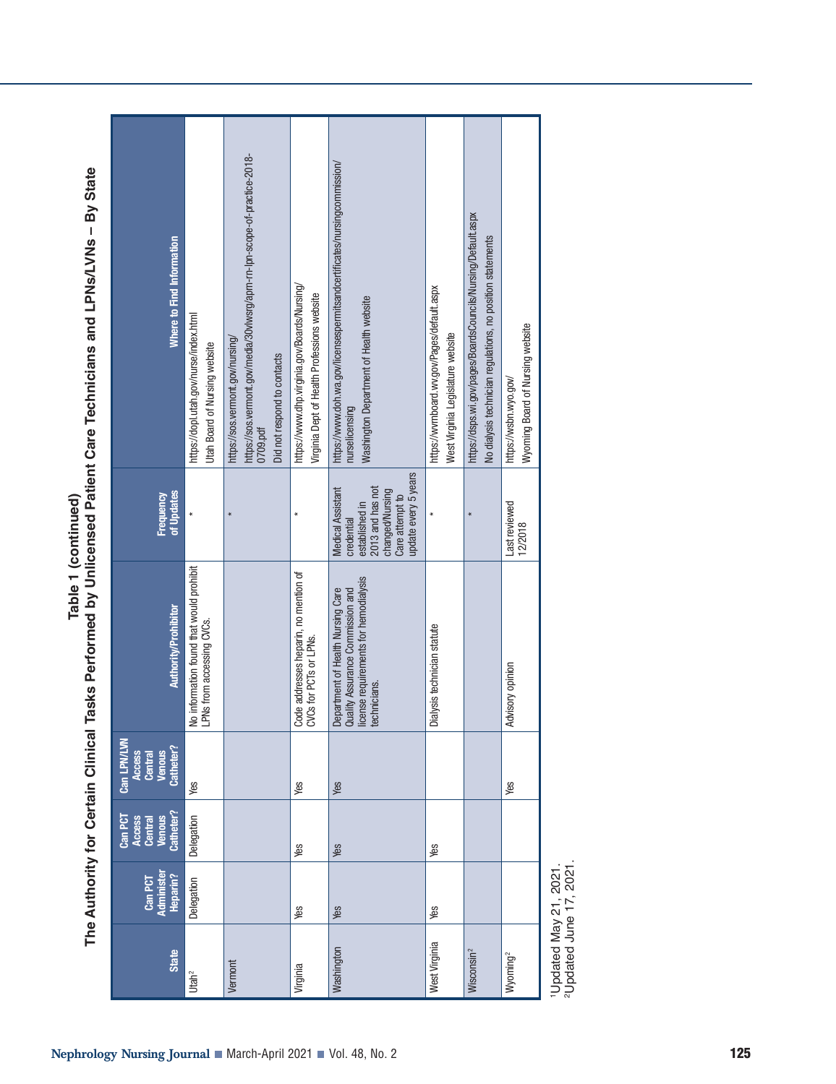| <b>State</b>           | Administe<br>Heparin?<br>Can PCT | Catheter?<br>Can PCT<br><b>Venous</b><br>Access<br><b>Central</b> | Can LPN/LVN<br>Venous<br>Catheter?<br><b>Access</b><br><b>Central</b> | Authority/Prohibito                                                                                                            | of Updates<br>Frequency                                                                                                             | Where to Find Information                                                                                                                               |
|------------------------|----------------------------------|-------------------------------------------------------------------|-----------------------------------------------------------------------|--------------------------------------------------------------------------------------------------------------------------------|-------------------------------------------------------------------------------------------------------------------------------------|---------------------------------------------------------------------------------------------------------------------------------------------------------|
| Utah <sup>2</sup>      | Delegation                       | Delegation                                                        | Yes                                                                   | No information found that would prohibit<br>LPNs from accessing CVCs.                                                          |                                                                                                                                     | https://dopl.utah.gov/nurse/index.html<br><b>Utah Board of Nursing website</b>                                                                          |
| Vermont                |                                  |                                                                   |                                                                       |                                                                                                                                | $\star$                                                                                                                             | https://sos.vermont.gov/media/30vlwsrg/apm-m-lpn-scope-of-practice-2018-<br>https://sos.vermont.gov/nursing/<br>Did not respond to contacts<br>0709.pdf |
| Virginia               | Yes                              | Yes                                                               | Yes                                                                   | Code addresses heparin, no mention of<br>CVCs for PCTs or LPNs.                                                                | $\star$                                                                                                                             | https://www.dhp.virginia.gov/Boards/Nursing/<br>Virginia Dept of Health Professions website                                                             |
| Washington             | Yes                              | Yes                                                               | Yes                                                                   | license requirements for hemodialysis<br>Department of Health Nursing Care<br>Quality Assurance Commission and<br>technicians. | update every 5 years<br>2013 and has not<br>Medical Assistant<br>changed/Nursing<br>Care attempt to<br>established in<br>credential | https://www.doh.wa.gov/licensespermitsandcertificates/nursingcommission/<br>Washington Department of Health website<br>nurselicensing                   |
| West Virginia          | Yes                              | Yes                                                               |                                                                       | Dialysis technician statute                                                                                                    | $\star$                                                                                                                             | https://wwrnboard.wv.gov/Pages/default.aspx<br>West Virginia Legislature website                                                                        |
| Wisconsin <sup>2</sup> |                                  |                                                                   |                                                                       |                                                                                                                                | $\ast$                                                                                                                              | https://dsps.wi.gov/pages/BoardsCouncils/Nursing/Default.aspx<br>No dialysis technician regulations, no position statements                             |
| Wyoming <sup>2</sup>   |                                  |                                                                   | yes                                                                   | Advisory opinion                                                                                                               | Last reviewed<br>12/2018                                                                                                            | Wyoming Board of Nursing website<br>https://wsbn.wyo.gov/                                                                                               |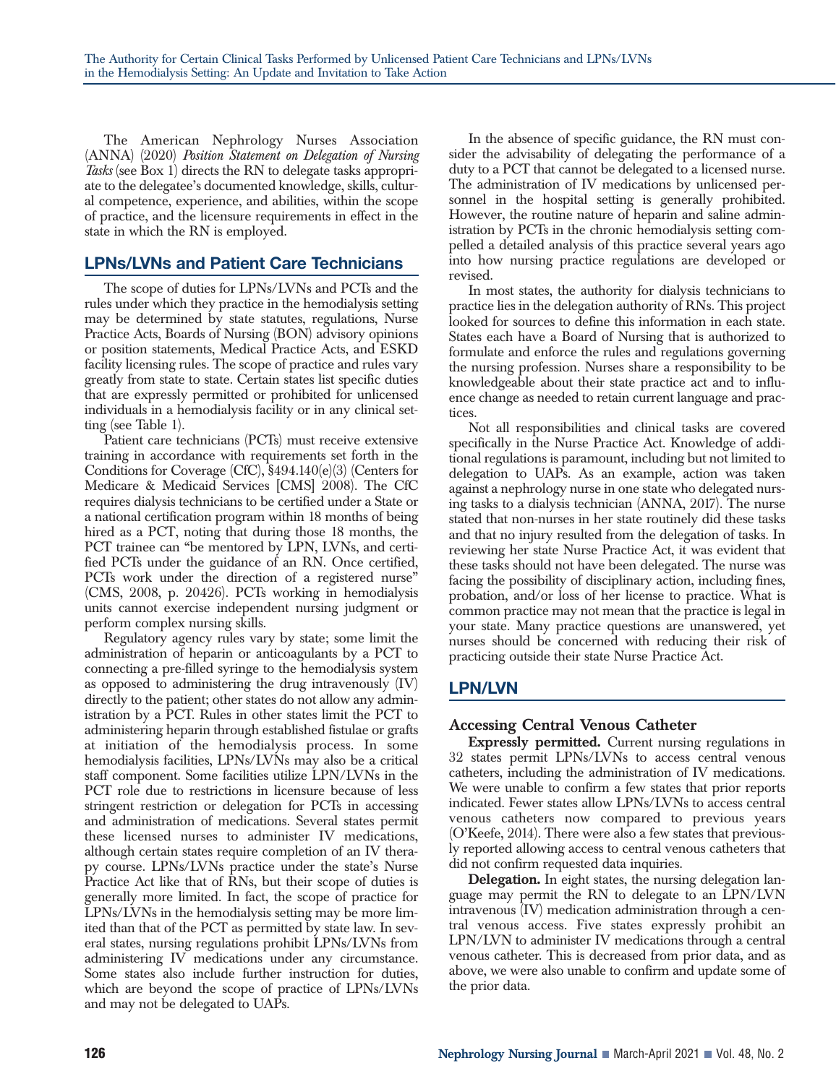The American Nephrology Nurses Association (ANNA) (2020) *Position Statement on Delegation of Nursing Tasks* (see Box 1) directs the RN to delegate tasks appropriate to the delegatee's documented knowledge, skills, cultural competence, experience, and abilities, within the scope of practice, and the licensure requirements in effect in the state in which the RN is employed.

# **LPNs/LVNs and Patient Care Technicians**

The scope of duties for LPNs/LVNs and PCTs and the rules under which they practice in the hemodialysis setting may be determined by state statutes, regulations, Nurse Practice Acts, Boards of Nursing (BON) advisory opinions or position statements, Medical Practice Acts, and ESKD facility licensing rules. The scope of practice and rules vary greatly from state to state. Certain states list specific duties that are expressly permitted or prohibited for unlicensed individuals in a hemodialysis facility or in any clinical setting (see Table 1).

Patient care technicians (PCTs) must receive extensive training in accordance with requirements set forth in the Conditions for Coverage (CfC), §494.140(e)(3) (Centers for Medicare & Medicaid Services [CMS] 2008). The CfC requires dialysis technicians to be certified under a State or a national certification program within 18 months of being hired as a PCT, noting that during those 18 months, the PCT trainee can "be mentored by LPN, LVNs, and certified PCTs under the guidance of an RN. Once certified, PCTs work under the direction of a registered nurse" (CMS, 2008, p. 20426). PCTs working in hemodialysis units cannot exercise independent nursing judgment or perform complex nursing skills.

Regulatory agency rules vary by state; some limit the administration of heparin or anticoagulants by a PCT to connecting a pre-filled syringe to the hemodialysis system as opposed to administering the drug intravenously (IV) directly to the patient; other states do not allow any administration by a PCT. Rules in other states limit the PCT to administering heparin through established fistulae or grafts at initiation of the hemodialysis process. In some hemodialysis facilities, LPNs/LVNs may also be a critical staff component. Some facilities utilize LPN/LVNs in the PCT role due to restrictions in licensure because of less stringent restriction or delegation for PCTs in accessing and administration of medications. Several states permit these licensed nurses to administer IV medications, although certain states require completion of an IV therapy course. LPNs/LVNs practice under the state's Nurse Practice Act like that of RNs, but their scope of duties is generally more limited. In fact, the scope of practice for LPNs/LVNs in the hemodialysis setting may be more limited than that of the PCT as permitted by state law. In several states, nursing regulations prohibit LPNs/LVNs from administering IV medications under any circumstance. Some states also include further instruction for duties, which are beyond the scope of practice of LPNs/LVNs and may not be delegated to UAPs.

In the absence of specific guidance, the RN must consider the advisability of delegating the performance of a duty to a PCT that cannot be delegated to a licensed nurse. The administration of IV medications by unlicensed personnel in the hospital setting is generally prohibited. However, the routine nature of heparin and saline administration by PCTs in the chronic hemodialysis setting compelled a detailed analysis of this practice several years ago into how nursing practice regulations are developed or revised.

In most states, the authority for dialysis technicians to practice lies in the delegation authority of RNs. This project looked for sources to define this information in each state. States each have a Board of Nursing that is authorized to formulate and enforce the rules and regulations governing the nursing profession. Nurses share a responsibility to be knowledgeable about their state practice act and to influence change as needed to retain current language and practices.

Not all responsibilities and clinical tasks are covered specifically in the Nurse Practice Act. Knowledge of additional regulations is paramount, including but not limited to delegation to UAPs. As an example, action was taken against a nephrology nurse in one state who delegated nursing tasks to a dialysis technician (ANNA, 2017). The nurse stated that non-nurses in her state routinely did these tasks and that no injury resulted from the delegation of tasks. In reviewing her state Nurse Practice Act, it was evident that these tasks should not have been delegated. The nurse was facing the possibility of disciplinary action, including fines, probation, and/or loss of her license to practice. What is common practice may not mean that the practice is legal in your state. Many practice questions are unanswered, yet nurses should be concerned with reducing their risk of practicing outside their state Nurse Practice Act.

# **LPN/LVN**

# **Accessing Central Venous Catheter**

**Expressly permitted.** Current nursing regulations in 32 states permit LPNs/LVNs to access central venous catheters, including the administration of IV medications. We were unable to confirm a few states that prior reports indicated. Fewer states allow LPNs/LVNs to access central venous catheters now compared to previous years (O'Keefe, 2014). There were also a few states that previously reported allowing access to central venous catheters that did not confirm requested data inquiries.

**Delegation.** In eight states, the nursing delegation language may permit the RN to delegate to an LPN/LVN intravenous (IV) medication administration through a central venous access. Five states expressly prohibit an LPN/LVN to administer IV medications through a central venous catheter. This is decreased from prior data, and as above, we were also unable to confirm and update some of the prior data.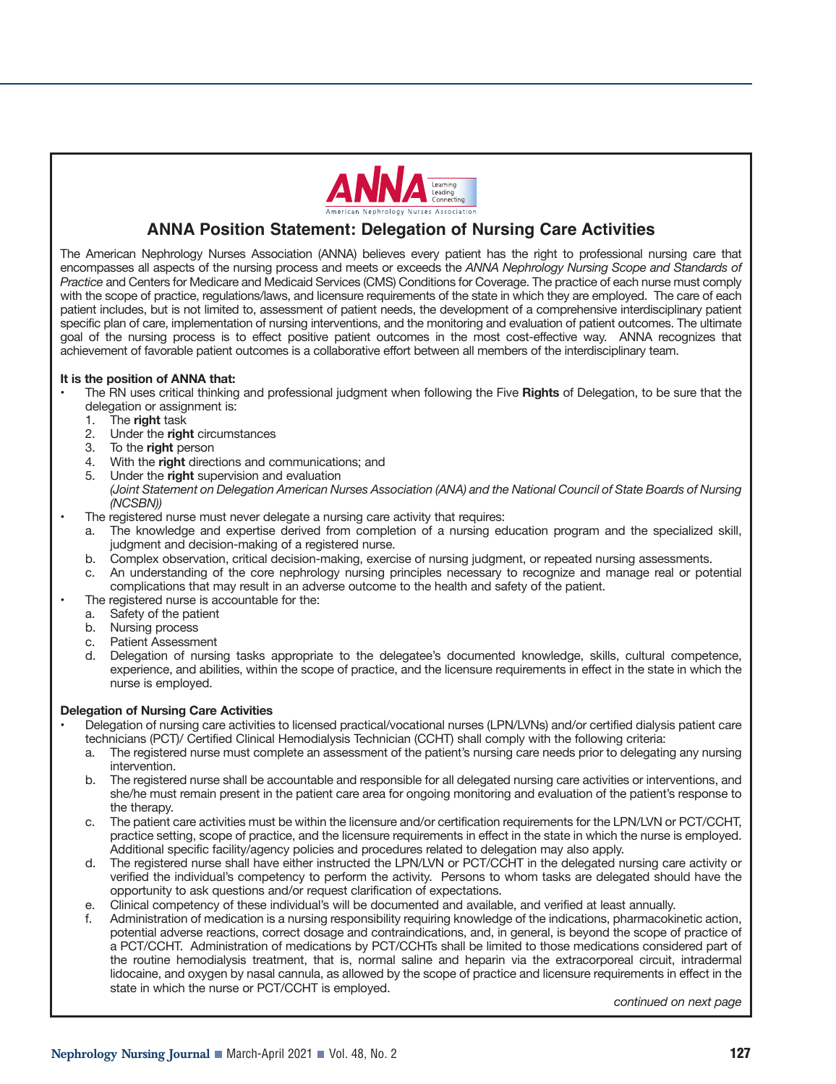

# **ANNA Position Statement: Delegation of Nursing Care Activities**

The American Nephrology Nurses Association (ANNA) believes every patient has the right to professional nursing care that encompasses all aspects of the nursing process and meets or exceeds the *ANNA Nephrology Nursing Scope and Standards of Practice* and Centers for Medicare and Medicaid Services (CMS) Conditions for Coverage. The practice of each nurse must comply with the scope of practice, regulations/laws, and licensure requirements of the state in which they are employed. The care of each patient includes, but is not limited to, assessment of patient needs, the development of a comprehensive interdisciplinary patient specific plan of care, implementation of nursing interventions, and the monitoring and evaluation of patient outcomes. The ultimate goal of the nursing process is to effect positive patient outcomes in the most cost-effective way. ANNA recognizes that achievement of favorable patient outcomes is a collaborative effort between all members of the interdisciplinary team.

#### **It is the position of ANNA that:**

- The RN uses critical thinking and professional judgment when following the Five **Rights** of Delegation, to be sure that the delegation or assignment is:
	- 1. The **right** task
	- 2. Under the **right** circumstances
	- 3. To the **right** person
	- 4. With the **right** directions and communications; and
	- 5. Under the **right** supervision and evaluation *(Joint Statement on Delegation American Nurses Association (ANA) and the National Council of State Boards of Nursing (NCSBN))*
- The registered nurse must never delegate a nursing care activity that requires:
	- a. The knowledge and expertise derived from completion of a nursing education program and the specialized skill, judgment and decision-making of a registered nurse.
	- b. Complex observation, critical decision-making, exercise of nursing judgment, or repeated nursing assessments.
	- c. An understanding of the core nephrology nursing principles necessary to recognize and manage real or potential complications that may result in an adverse outcome to the health and safety of the patient.
- The registered nurse is accountable for the:
	- a. Safety of the patient
	- Nursing process
	- c. Patient Assessment
	- d. Delegation of nursing tasks appropriate to the delegatee's documented knowledge, skills, cultural competence, experience, and abilities, within the scope of practice, and the licensure requirements in effect in the state in which the nurse is employed.

#### **Delegation of Nursing Care Activities**

- Delegation of nursing care activities to licensed practical/vocational nurses (LPN/LVNs) and/or certified dialysis patient care technicians (PCT)/ Certified Clinical Hemodialysis Technician (CCHT) shall comply with the following criteria:
	- a. The registered nurse must complete an assessment of the patient's nursing care needs prior to delegating any nursing intervention.
	- b. The registered nurse shall be accountable and responsible for all delegated nursing care activities or interventions, and she/he must remain present in the patient care area for ongoing monitoring and evaluation of the patient's response to the therapy.
	- c. The patient care activities must be within the licensure and/or certification requirements for the LPN/LVN or PCT/CCHT, practice setting, scope of practice, and the licensure requirements in effect in the state in which the nurse is employed. Additional specific facility/agency policies and procedures related to delegation may also apply.
	- d. The registered nurse shall have either instructed the LPN/LVN or PCT/CCHT in the delegated nursing care activity or verified the individual's competency to perform the activity. Persons to whom tasks are delegated should have the opportunity to ask questions and/or request clarification of expectations.
	- e. Clinical competency of these individual's will be documented and available, and verified at least annually.
	- f. Administration of medication is a nursing responsibility requiring knowledge of the indications, pharmacokinetic action, potential adverse reactions, correct dosage and contraindications, and, in general, is beyond the scope of practice of a PCT/CCHT. Administration of medications by PCT/CCHTs shall be limited to those medications considered part of the routine hemodialysis treatment, that is, normal saline and heparin via the extracorporeal circuit, intradermal lidocaine, and oxygen by nasal cannula, as allowed by the scope of practice and licensure requirements in effect in the state in which the nurse or PCT/CCHT is employed.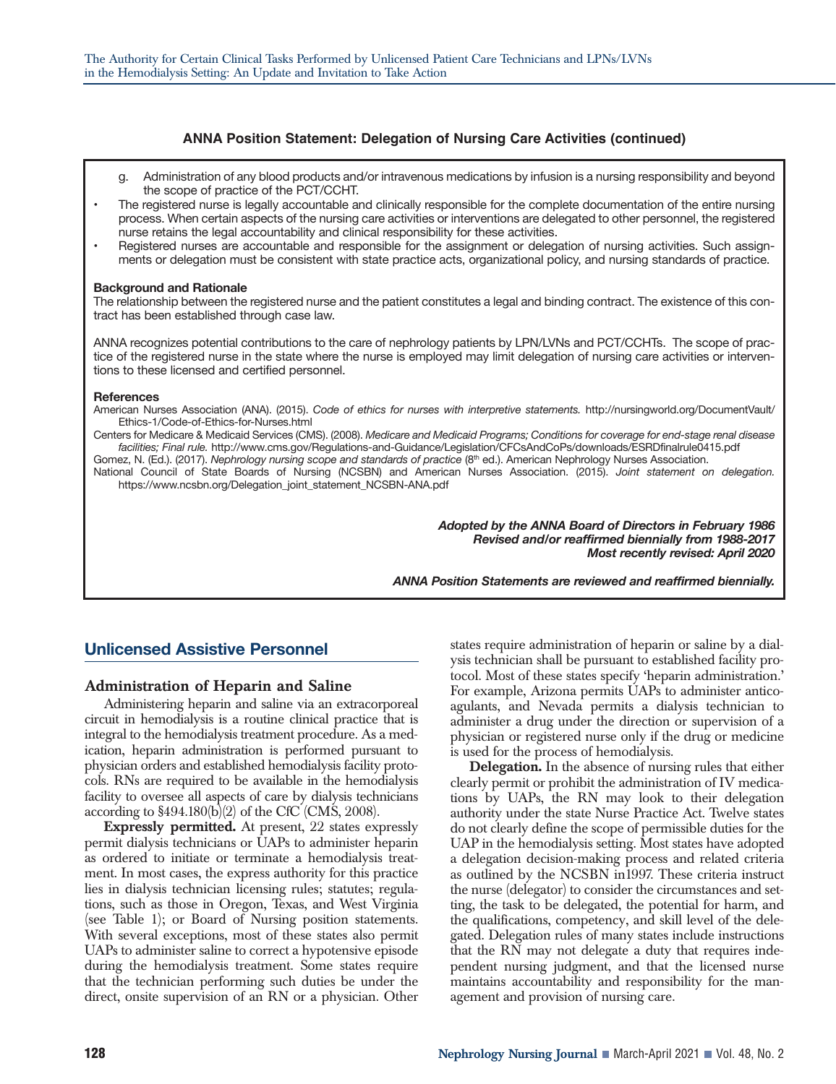#### **ANNA Position Statement: Delegation of Nursing Care Activities (continued)**

- g. Administration of any blood products and/or intravenous medications by infusion is a nursing responsibility and beyond the scope of practice of the PCT/CCHT.
- The registered nurse is legally accountable and clinically responsible for the complete documentation of the entire nursing process. When certain aspects of the nursing care activities or interventions are delegated to other personnel, the registered nurse retains the legal accountability and clinical responsibility for these activities.
- Registered nurses are accountable and responsible for the assignment or delegation of nursing activities. Such assignments or delegation must be consistent with state practice acts, organizational policy, and nursing standards of practice.

#### **Background and Rationale**

The relationship between the registered nurse and the patient constitutes a legal and binding contract. The existence of this contract has been established through case law.

ANNA recognizes potential contributions to the care of nephrology patients by LPN/LVNs and PCT/CCHTs. The scope of practice of the registered nurse in the state where the nurse is employed may limit delegation of nursing care activities or interventions to these licensed and certified personnel.

#### **References**

American Nurses Association (ANA). (2015). *Code of ethics for nurses with interpretive statements.* http://nursingworld.org/DocumentVault/ Ethics-1/Code-of-Ethics-for-Nurses.html

Centers for Medicare & Medicaid Services (CMS). (2008). *Medicare and Medicaid Programs; Conditions for coverage for end-stage renal disease facilities; Final rule.* http://www.cms.gov/Regulations-and-Guidance/Legislation/CFCsAndCoPs/downloads/ESRDfinalrule0415.pdf

Gomez, N. (Ed.). (2017). *Nephrology nursing scope and standards of practice* (8<sup>th</sup> ed.). American Nephrology Nurses Association. National Council of State Boards of Nursing (NCSBN) and American Nurses Association. (2015). *Joint statement on delegation.* https://www.ncsbn.org/Delegation\_joint\_statement\_NCSBN-ANA.pdf

> *Adopted by the ANNA Board of Directors in February 1986 Revised and/or reaffirmed biennially from 1988-2017 Most recently revised: April 2020*

*ANNA Position Statements are reviewed and reaffirmed biennially.*

# **Unlicensed Assistive Personnel**

#### **Administration of Heparin and Saline**

Administering heparin and saline via an extracorporeal circuit in hemodialysis is a routine clinical practice that is integral to the hemodialysis treatment procedure. As a medication, heparin administration is performed pursuant to physician orders and established hemodialysis facility protocols. RNs are required to be available in the hemodialysis facility to oversee all aspects of care by dialysis technicians according to  $$494.180(b)(2)$  of the CfC (CMS, 2008).

**Expressly permitted.** At present, 22 states expressly permit dialysis technicians or UAPs to administer heparin as ordered to initiate or terminate a hemodialysis treatment. In most cases, the express authority for this practice lies in dialysis technician licensing rules; statutes; regulations, such as those in Oregon, Texas, and West Virginia (see Table 1); or Board of Nursing position statements. With several exceptions, most of these states also permit UAPs to administer saline to correct a hypotensive episode during the hemodialysis treatment. Some states require that the technician performing such duties be under the direct, onsite supervision of an RN or a physician. Other

states require administration of heparin or saline by a dialysis technician shall be pursuant to established facility protocol. Most of these states specify 'heparin administration.' For example, Arizona permits UAPs to administer anticoagulants, and Nevada permits a dialysis technician to administer a drug under the direction or supervision of a physician or registered nurse only if the drug or medicine is used for the process of hemodialysis.

**Delegation.** In the absence of nursing rules that either clearly permit or prohibit the administration of IV medications by UAPs, the RN may look to their delegation authority under the state Nurse Practice Act. Twelve states do not clearly define the scope of permissible duties for the UAP in the hemodialysis setting. Most states have adopted a delegation decision-making process and related criteria as outlined by the NCSBN in1997. These criteria instruct the nurse (delegator) to consider the circumstances and setting, the task to be delegated, the potential for harm, and the qualifications, competency, and skill level of the delegated. Delegation rules of many states include instructions that the RN may not delegate a duty that requires independent nursing judgment, and that the licensed nurse maintains accountability and responsibility for the management and provision of nursing care.